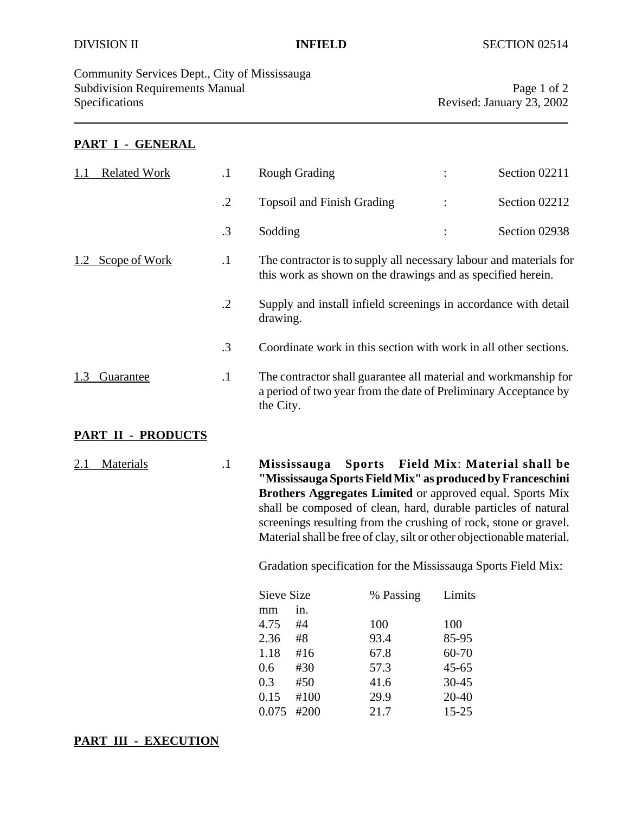Community Services Dept., City of Mississauga Subdivision Requirements Manual Page 1 of 2<br>Specifications Revised: January 23, 2002

Revised: January 23, 2002

## **PART I - GENERAL**

|  | <b>Related Work</b> |            | <b>Rough Grading</b>                                                                                                                            |                | Section 02211 |
|--|---------------------|------------|-------------------------------------------------------------------------------------------------------------------------------------------------|----------------|---------------|
|  | Scope of Work       | $\cdot$ .2 | <b>Topsoil and Finish Grading</b>                                                                                                               | $\ddot{\cdot}$ | Section 02212 |
|  |                     | $\cdot$ 3  | Sodding                                                                                                                                         |                | Section 02938 |
|  |                     | $\cdot$    | The contractor is to supply all necessary labour and materials for<br>this work as shown on the drawings and as specified herein.               |                |               |
|  |                     | $\cdot$ .2 | Supply and install infield screenings in accordance with detail<br>drawing.                                                                     |                |               |
|  | Guarantee           | $\cdot$ 3  | Coordinate work in this section with work in all other sections.                                                                                |                |               |
|  |                     | $\cdot$ 1  | The contractor shall guarantee all material and workmanship for<br>a period of two year from the date of Preliminary Acceptance by<br>the City. |                |               |

**PART II - PRODUCTS**

2.1 Materials .1 **Mississauga Sports Field Mix**: **Material shall be "Mississauga Sports Field Mix" as produced by Franceschini Brothers Aggregates Limited** or approved equal. Sports Mix shall be composed of clean, hard, durable particles of natural screenings resulting from the crushing of rock, stone or gravel. Material shall be free of clay, silt or other objectionable material.

Gradation specification for the Mississauga Sports Field Mix:

| Sieve Size |      | % Passing | Limits    |
|------------|------|-----------|-----------|
| mm         | in.  |           |           |
| 4.75       | #4   | 100       | 100       |
| 2.36       | #8   | 93.4      | 85-95     |
| 1.18       | #16  | 67.8      | 60-70     |
| 0.6        | #30  | 57.3      | $45 - 65$ |
| 0.3        | #50  | 41.6      | $30 - 45$ |
| 0.15       | #100 | 29.9      | $20 - 40$ |
| 0.075      | #200 | 21.7      | $15 - 25$ |

**PART III - EXECUTION**